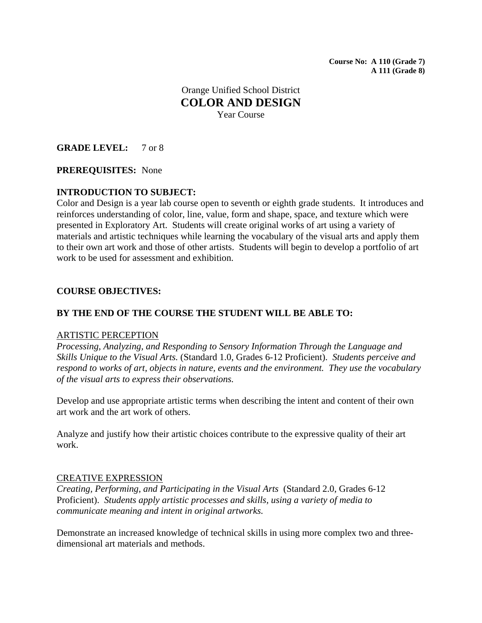**Course No: A 110 (Grade 7) A 111 (Grade 8)** 

Orange Unified School District **COLOR AND DESIGN**  Year Course

## **GRADE LEVEL:** 7 or 8

#### **PREREQUISITES:** None

## **INTRODUCTION TO SUBJECT:**

Color and Design is a year lab course open to seventh or eighth grade students. It introduces and reinforces understanding of color, line, value, form and shape, space, and texture which were presented in Exploratory Art. Students will create original works of art using a variety of materials and artistic techniques while learning the vocabulary of the visual arts and apply them to their own art work and those of other artists. Students will begin to develop a portfolio of art work to be used for assessment and exhibition.

#### **COURSE OBJECTIVES:**

### **BY THE END OF THE COURSE THE STUDENT WILL BE ABLE TO:**

#### ARTISTIC PERCEPTION

*Processing, Analyzing, and Responding to Sensory Information Through the Language and Skills Unique to the Visual Arts.* (Standard 1.0, Grades 6-12 Proficient). *Students perceive and respond to works of art, objects in nature, events and the environment. They use the vocabulary of the visual arts to express their observations.*

Develop and use appropriate artistic terms when describing the intent and content of their own art work and the art work of others.

Analyze and justify how their artistic choices contribute to the expressive quality of their art work.

#### CREATIVE EXPRESSION

*Creating, Performing, and Participating in the Visual Arts* (Standard 2.0, Grades 6-12 Proficient). *Students apply artistic processes and skills, using a variety of media to communicate meaning and intent in original artworks.*

Demonstrate an increased knowledge of technical skills in using more complex two and threedimensional art materials and methods.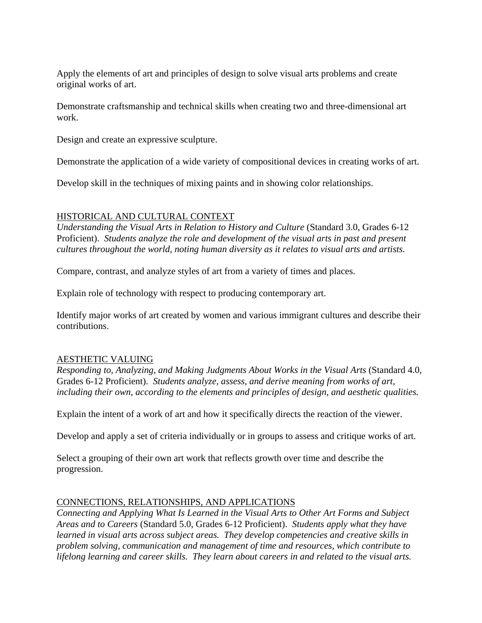Apply the elements of art and principles of design to solve visual arts problems and create original works of art.

Demonstrate craftsmanship and technical skills when creating two and three-dimensional art work.

Design and create an expressive sculpture.

Demonstrate the application of a wide variety of compositional devices in creating works of art.

Develop skill in the techniques of mixing paints and in showing color relationships.

# HISTORICAL AND CULTURAL CONTEXT

*Understanding the Visual Arts in Relation to History and Culture* (Standard 3.0, Grades 6-12 Proficient). *Students analyze the role and development of the visual arts in past and present cultures throughout the world, noting human diversity as it relates to visual arts and artists.*

Compare, contrast, and analyze styles of art from a variety of times and places.

Explain role of technology with respect to producing contemporary art.

Identify major works of art created by women and various immigrant cultures and describe their contributions.

# AESTHETIC VALUING

*Responding to, Analyzing, and Making Judgments About Works in the Visual Arts* (Standard 4.0, Grades 6-12 Proficient). *Students analyze, assess, and derive meaning from works of art, including their own, according to the elements and principles of design, and aesthetic qualities.*

Explain the intent of a work of art and how it specifically directs the reaction of the viewer.

Develop and apply a set of criteria individually or in groups to assess and critique works of art.

Select a grouping of their own art work that reflects growth over time and describe the progression.

# CONNECTIONS, RELATIONSHIPS, AND APPLICATIONS

*Connecting and Applying What Is Learned in the Visual Arts to Other Art Forms and Subject Areas and to Careers* (Standard 5.0, Grades 6-12 Proficient). *Students apply what they have learned in visual arts across subject areas. They develop competencies and creative skills in problem solving, communication and management of time and resources, which contribute to lifelong learning and career skills. They learn about careers in and related to the visual arts.*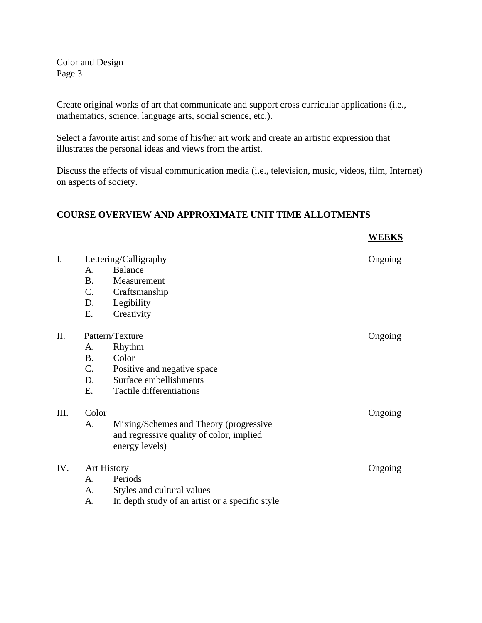Color and Design Page 3

Create original works of art that communicate and support cross curricular applications (i.e., mathematics, science, language arts, social science, etc.).

Select a favorite artist and some of his/her art work and create an artistic expression that illustrates the personal ideas and views from the artist.

Discuss the effects of visual communication media (i.e., television, music, videos, film, Internet) on aspects of society.

**WEEKS**

## **COURSE OVERVIEW AND APPROXIMATE UNIT TIME ALLOTMENTS**

| I.   | Lettering/Calligraphy |                                                 | Ongoing |
|------|-----------------------|-------------------------------------------------|---------|
|      | A.                    | <b>Balance</b>                                  |         |
|      | <b>B.</b>             | Measurement                                     |         |
|      | C.                    | Craftsmanship                                   |         |
|      | D.                    | Legibility                                      |         |
|      | Ε.                    | Creativity                                      |         |
| II.  | Pattern/Texture       |                                                 | Ongoing |
|      | A.                    | Rhythm                                          |         |
|      | <b>B.</b>             | Color                                           |         |
|      | C.                    | Positive and negative space                     |         |
|      | D.                    | Surface embellishments                          |         |
|      | E.                    | Tactile differentiations                        |         |
|      |                       |                                                 |         |
| III. | Color                 |                                                 | Ongoing |
|      | A.                    | Mixing/Schemes and Theory (progressive          |         |
|      |                       | and regressive quality of color, implied        |         |
|      |                       | energy levels)                                  |         |
| IV.  | <b>Art History</b>    |                                                 |         |
|      |                       |                                                 | Ongoing |
|      | A.                    | Periods                                         |         |
|      | А.                    | Styles and cultural values                      |         |
|      | A.                    | In depth study of an artist or a specific style |         |